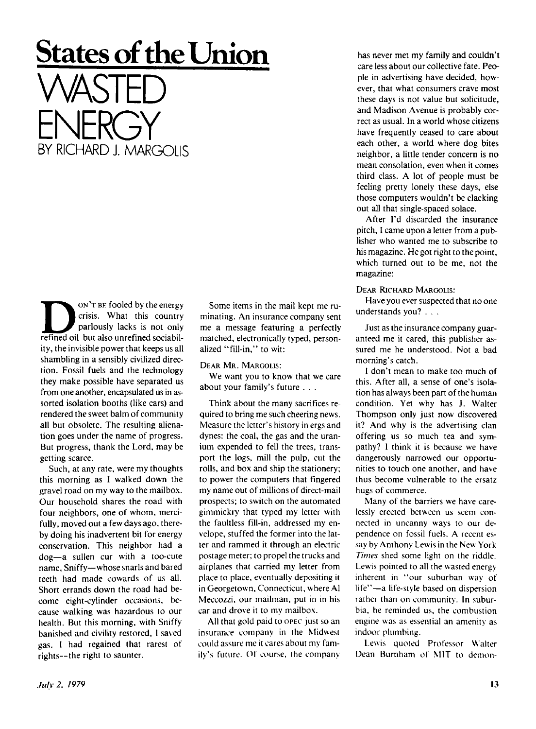## **States of the Union WASTED ENERGY** BY RICHARD L MARGOLIS

ON'T BE fooled by the energy<br>
crisis. What this country<br>
refined oil but also unrefined sociabil- ON 'T BF fooled by the energy crisis. What this country parlously lacks is not only ity, the invisible power that keeps us all shambling in a sensibly civilized direction. Fossil fuels and the technology they make possible have separated us from one another, encapsulated us in assorted isolation booths (like cars) and rendered the sweet balm of community all but obsolete. The resulting alienation goes under the name of progress. But progress, thank the Lord, may be getting scarce.

Such, at any rate, were my thoughts this morning as I walked down the gravel road on my way to the mailbox. Our household shares the road with four neighbors, one of whom, mercifully, moved out a few days ago, thereby doing his inadvertent bit for energy conservation. This neighbor had a dog—a sullen cur with a too-cute name, Sniffy—whose snarls and bared teeth had made cowards of us all. Short errands down the road had become eight-cylinder occasions, because walking was hazardous to our health. But this morning, with Sniffy banished and civility restored, I saved gas. I had regained that rarest of rights--the right to saunter.

Some items in the mail kept me ruminating. An insurance company sent me a message featuring a perfectly matched, electronically typed, personalized "fill-in," to wit:

DEAR MR. MARGOLIS:

We want you to know that we care about your family's future . .

Think about the many sacrifices required to bring me such cheering news. Measure the letter's history in ergs and dynes: the coal, the gas and the uranium expended to fell the trees, transport the logs, mill the pulp, cut the rolls, and box and ship the stationery; to power the computers that fingered my name out of millions of direct-mail prospects; to switch on the automated gimmickry that typed my letter with the faultless fill-in, addressed my envelope, stuffed the former into the latter and rammed it through an electric postage meter; to propel the trucks and airplanes that carried my letter from place to place, eventually depositing it in Georgetown, Connecticut, where Al Meccozzi, our mailman, put in in his car and drove it to my mailbox.

All that gold paid to OPEC just so an insurance company in the Midwest could assure me it cares about my family's future. Of course, the company

has never met my family and couldn't care less about our collective fate. People in advertising have decided, however, that what consumers crave most these days is not value but solicitude, and Madison Avenue is probably correct as usual. In a world whose citizens have frequently ceased to care about each other, a world where dog bites neighbor, a little tender concern is no mean consolation, even when it comes third class. A lot of people must be feeling pretty lonely these days, else those computers wouldn't be clacking out all that single-spaced solace.

After I'd discarded the insurance pitch, I came upon a letter from a publisher who wanted me to subscribe to his magazine. He got right to the point, which turned out to be me, not the magazine:

DEAR RICHARD MARGOLIS:

Have you ever suspected that no one understands you? .. .

Just as the insurance company guaranteed me it cared, this publisher assured me he understood. Not a bad morning's catch.

I don't mean to make too much of this. After all, a sense of one's isolation has always been part of the human condition. Yet why has *J.* Walter Thompson only just now discovered it? And why is the advertising clan offering us so much tea and sympathy? I think it is because we have dangerously narrowed our opportunities to touch one another, and have thus become vulnerable to the ersatz hugs of commerce.

Many of the barriers we have carelessly erected between us seem connected in uncanny ways to our dependence on fossil fuels. A recent essay by Anthony Lewis in the New York *Times* shed some light on the riddle. Lewis pointed to all the wasted energy inherent in "our suburban way of life"—a life-style based on dispersion rather than on community. In suburbia, he reminded us, the combustion engine was as essential an amenity as indoor plumbing.

Lewis quoted Professor Walter Dean Burnham of MIT to demon